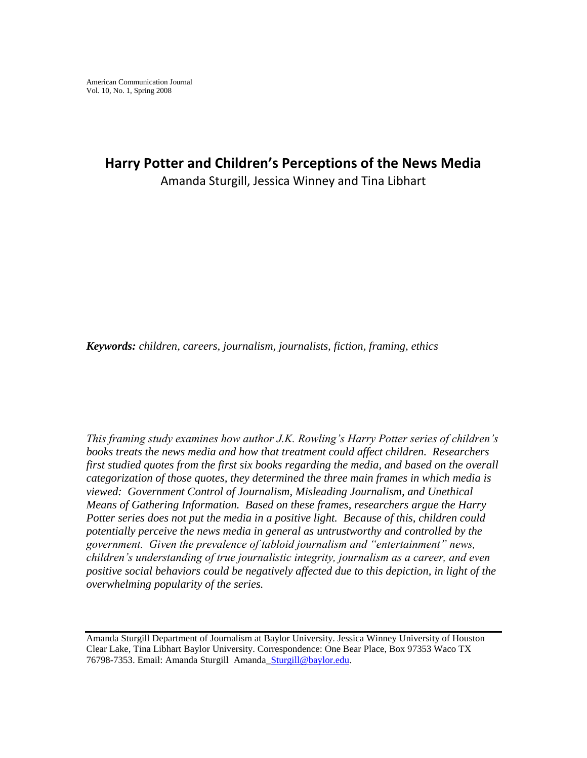**Harry Potter and Children's Perceptions of the News Media**

Amanda Sturgill, Jessica Winney and Tina Libhart

*Keywords: children, careers, journalism, journalists, fiction, framing, ethics*

*This framing study examines how author J.K. Rowling's Harry Potter series of children's books treats the news media and how that treatment could affect children. Researchers*  first studied quotes from the first six books regarding the media, and based on the overall *categorization of those quotes, they determined the three main frames in which media is viewed: Government Control of Journalism, Misleading Journalism, and Unethical Means of Gathering Information. Based on these frames, researchers argue the Harry Potter series does not put the media in a positive light. Because of this, children could potentially perceive the news media in general as untrustworthy and controlled by the government. Given the prevalence of tabloid journalism and "entertainment" news, children's understanding of true journalistic integrity, journalism as a career, and even positive social behaviors could be negatively affected due to this depiction, in light of the overwhelming popularity of the series.* 

Amanda Sturgill Department of Journalism at Baylor University. Jessica Winney University of Houston Clear Lake, Tina Libhart Baylor University. Correspondence: One Bear Place, Box 97353 Waco TX 76798-7353. Email: Amanda Sturgill Amanda[\\_Sturgill@baylor.edu.](mailto:Sturgill@baylor.edu)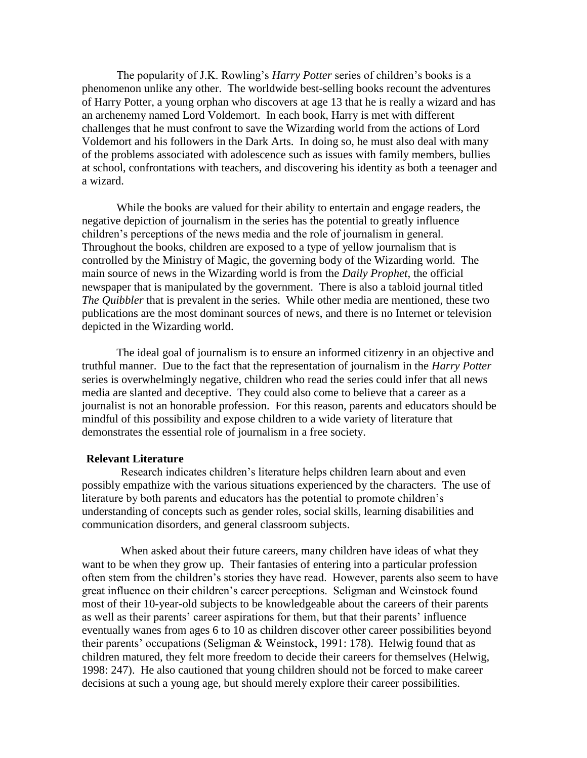The popularity of J.K. Rowling's *Harry Potter* series of children's books is a phenomenon unlike any other. The worldwide best-selling books recount the adventures of Harry Potter, a young orphan who discovers at age 13 that he is really a wizard and has an archenemy named Lord Voldemort. In each book, Harry is met with different challenges that he must confront to save the Wizarding world from the actions of Lord Voldemort and his followers in the Dark Arts. In doing so, he must also deal with many of the problems associated with adolescence such as issues with family members, bullies at school, confrontations with teachers, and discovering his identity as both a teenager and a wizard.

While the books are valued for their ability to entertain and engage readers, the negative depiction of journalism in the series has the potential to greatly influence children's perceptions of the news media and the role of journalism in general. Throughout the books, children are exposed to a type of yellow journalism that is controlled by the Ministry of Magic, the governing body of the Wizarding world. The main source of news in the Wizarding world is from the *Daily Prophet*, the official newspaper that is manipulated by the government. There is also a tabloid journal titled *The Quibbler* that is prevalent in the series. While other media are mentioned, these two publications are the most dominant sources of news, and there is no Internet or television depicted in the Wizarding world.

The ideal goal of journalism is to ensure an informed citizenry in an objective and truthful manner. Due to the fact that the representation of journalism in the *Harry Potter* series is overwhelmingly negative, children who read the series could infer that all news media are slanted and deceptive. They could also come to believe that a career as a journalist is not an honorable profession. For this reason, parents and educators should be mindful of this possibility and expose children to a wide variety of literature that demonstrates the essential role of journalism in a free society.

## **Relevant Literature**

Research indicates children's literature helps children learn about and even possibly empathize with the various situations experienced by the characters. The use of literature by both parents and educators has the potential to promote children's understanding of concepts such as gender roles, social skills, learning disabilities and communication disorders, and general classroom subjects.

When asked about their future careers, many children have ideas of what they want to be when they grow up. Their fantasies of entering into a particular profession often stem from the children's stories they have read. However, parents also seem to have great influence on their children's career perceptions. Seligman and Weinstock found most of their 10-year-old subjects to be knowledgeable about the careers of their parents as well as their parents' career aspirations for them, but that their parents' influence eventually wanes from ages 6 to 10 as children discover other career possibilities beyond their parents' occupations (Seligman & Weinstock, 1991: 178). Helwig found that as children matured, they felt more freedom to decide their careers for themselves (Helwig, 1998: 247). He also cautioned that young children should not be forced to make career decisions at such a young age, but should merely explore their career possibilities.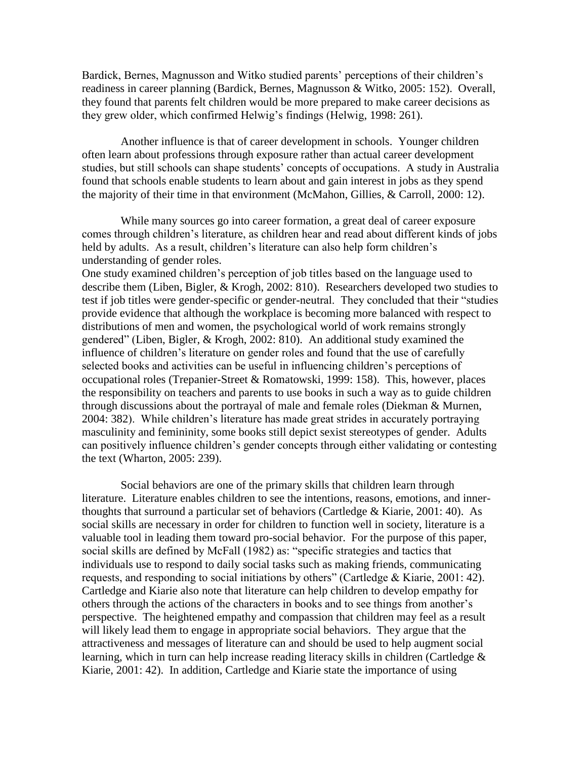Bardick, Bernes, Magnusson and Witko studied parents' perceptions of their children's readiness in career planning (Bardick, Bernes, Magnusson & Witko, 2005: 152). Overall, they found that parents felt children would be more prepared to make career decisions as they grew older, which confirmed Helwig's findings (Helwig, 1998: 261).

Another influence is that of career development in schools. Younger children often learn about professions through exposure rather than actual career development studies, but still schools can shape students' concepts of occupations. A study in Australia found that schools enable students to learn about and gain interest in jobs as they spend the majority of their time in that environment (McMahon, Gillies, & Carroll, 2000: 12).

While many sources go into career formation, a great deal of career exposure comes through children's literature, as children hear and read about different kinds of jobs held by adults. As a result, children's literature can also help form children's understanding of gender roles.

One study examined children's perception of job titles based on the language used to describe them (Liben, Bigler, & Krogh, 2002: 810). Researchers developed two studies to test if job titles were gender-specific or gender-neutral. They concluded that their "studies provide evidence that although the workplace is becoming more balanced with respect to distributions of men and women, the psychological world of work remains strongly gendered" (Liben, Bigler,  $&$  Krogh, 2002: 810). An additional study examined the influence of children's literature on gender roles and found that the use of carefully selected books and activities can be useful in influencing children's perceptions of occupational roles (Trepanier-Street & Romatowski, 1999: 158). This, however, places the responsibility on teachers and parents to use books in such a way as to guide children through discussions about the portrayal of male and female roles (Diekman & Murnen, 2004: 382). While children's literature has made great strides in accurately portraying masculinity and femininity, some books still depict sexist stereotypes of gender. Adults can positively influence children's gender concepts through either validating or contesting the text (Wharton, 2005: 239).

Social behaviors are one of the primary skills that children learn through literature. Literature enables children to see the intentions, reasons, emotions, and innerthoughts that surround a particular set of behaviors (Cartledge & Kiarie, 2001: 40). As social skills are necessary in order for children to function well in society, literature is a valuable tool in leading them toward pro-social behavior. For the purpose of this paper, social skills are defined by McFall (1982) as: "specific strategies and tactics that individuals use to respond to daily social tasks such as making friends, communicating requests, and responding to social initiations by others" (Cartledge  $& Kiarie, 2001: 42$ ). Cartledge and Kiarie also note that literature can help children to develop empathy for others through the actions of the characters in books and to see things from another's perspective. The heightened empathy and compassion that children may feel as a result will likely lead them to engage in appropriate social behaviors. They argue that the attractiveness and messages of literature can and should be used to help augment social learning, which in turn can help increase reading literacy skills in children (Cartledge & Kiarie, 2001: 42). In addition, Cartledge and Kiarie state the importance of using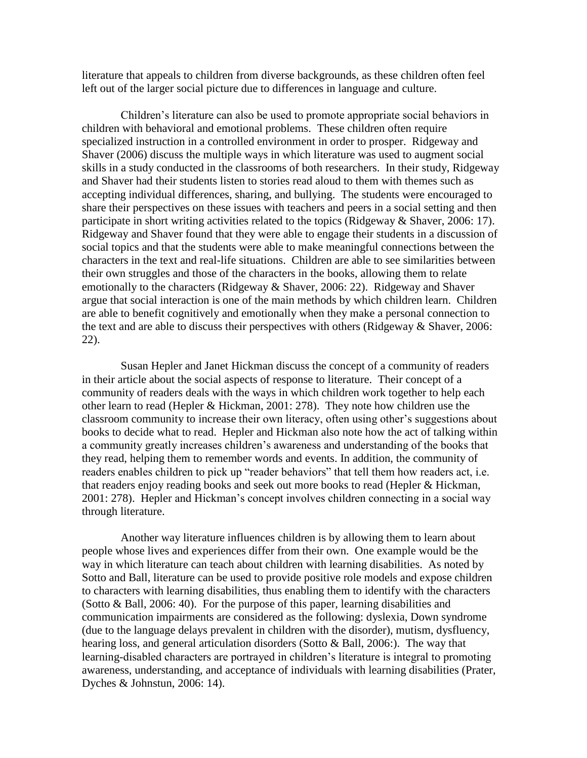literature that appeals to children from diverse backgrounds, as these children often feel left out of the larger social picture due to differences in language and culture.

Children's literature can also be used to promote appropriate social behaviors in children with behavioral and emotional problems. These children often require specialized instruction in a controlled environment in order to prosper. Ridgeway and Shaver (2006) discuss the multiple ways in which literature was used to augment social skills in a study conducted in the classrooms of both researchers. In their study, Ridgeway and Shaver had their students listen to stories read aloud to them with themes such as accepting individual differences, sharing, and bullying. The students were encouraged to share their perspectives on these issues with teachers and peers in a social setting and then participate in short writing activities related to the topics (Ridgeway & Shaver, 2006: 17). Ridgeway and Shaver found that they were able to engage their students in a discussion of social topics and that the students were able to make meaningful connections between the characters in the text and real-life situations. Children are able to see similarities between their own struggles and those of the characters in the books, allowing them to relate emotionally to the characters (Ridgeway & Shaver, 2006: 22). Ridgeway and Shaver argue that social interaction is one of the main methods by which children learn. Children are able to benefit cognitively and emotionally when they make a personal connection to the text and are able to discuss their perspectives with others (Ridgeway & Shaver, 2006: 22).

Susan Hepler and Janet Hickman discuss the concept of a community of readers in their article about the social aspects of response to literature. Their concept of a community of readers deals with the ways in which children work together to help each other learn to read (Hepler & Hickman, 2001: 278). They note how children use the classroom community to increase their own literacy, often using other's suggestions about books to decide what to read. Hepler and Hickman also note how the act of talking within a community greatly increases children's awareness and understanding of the books that they read, helping them to remember words and events. In addition, the community of readers enables children to pick up "reader behaviors" that tell them how readers act, i.e. that readers enjoy reading books and seek out more books to read (Hepler & Hickman, 2001: 278). Hepler and Hickman's concept involves children connecting in a social way through literature.

Another way literature influences children is by allowing them to learn about people whose lives and experiences differ from their own. One example would be the way in which literature can teach about children with learning disabilities. As noted by Sotto and Ball, literature can be used to provide positive role models and expose children to characters with learning disabilities, thus enabling them to identify with the characters (Sotto & Ball, 2006: 40). For the purpose of this paper, learning disabilities and communication impairments are considered as the following: dyslexia, Down syndrome (due to the language delays prevalent in children with the disorder), mutism, dysfluency, hearing loss, and general articulation disorders (Sotto & Ball, 2006:). The way that learning-disabled characters are portrayed in children's literature is integral to promoting awareness, understanding, and acceptance of individuals with learning disabilities (Prater, Dyches & Johnstun, 2006: 14).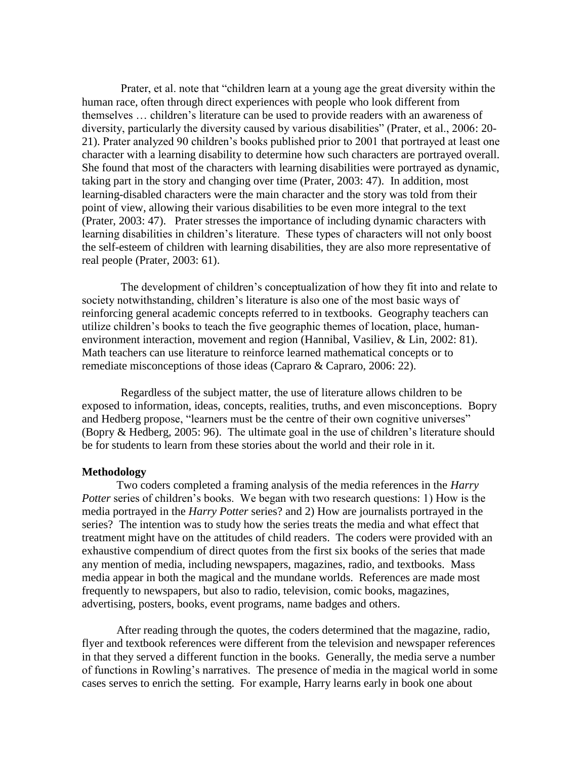Prater, et al. note that "children learn at a young age the great diversity within the human race, often through direct experiences with people who look different from themselves … children's literature can be used to provide readers with an awareness of diversity, particularly the diversity caused by various disabilities" (Prater, et al., 2006: 20-21). Prater analyzed 90 children's books published prior to 2001 that portrayed at least one character with a learning disability to determine how such characters are portrayed overall. She found that most of the characters with learning disabilities were portrayed as dynamic, taking part in the story and changing over time (Prater, 2003: 47). In addition, most learning-disabled characters were the main character and the story was told from their point of view, allowing their various disabilities to be even more integral to the text (Prater, 2003: 47). Prater stresses the importance of including dynamic characters with learning disabilities in children's literature. These types of characters will not only boost the self-esteem of children with learning disabilities, they are also more representative of real people (Prater, 2003: 61).

The development of children's conceptualization of how they fit into and relate to society notwithstanding, children's literature is also one of the most basic ways of reinforcing general academic concepts referred to in textbooks. Geography teachers can utilize children's books to teach the five geographic themes of location, place, humanenvironment interaction, movement and region (Hannibal, Vasiliev, & Lin, 2002: 81). Math teachers can use literature to reinforce learned mathematical concepts or to remediate misconceptions of those ideas (Capraro & Capraro, 2006: 22).

Regardless of the subject matter, the use of literature allows children to be exposed to information, ideas, concepts, realities, truths, and even misconceptions. Bopry and Hedberg propose, "learners must be the centre of their own cognitive universes" (Bopry & Hedberg, 2005: 96). The ultimate goal in the use of children's literature should be for students to learn from these stories about the world and their role in it.

### **Methodology**

Two coders completed a framing analysis of the media references in the *Harry Potter* series of children's books. We began with two research questions: 1) How is the media portrayed in the *Harry Potter* series? and 2) How are journalists portrayed in the series? The intention was to study how the series treats the media and what effect that treatment might have on the attitudes of child readers. The coders were provided with an exhaustive compendium of direct quotes from the first six books of the series that made any mention of media, including newspapers, magazines, radio, and textbooks. Mass media appear in both the magical and the mundane worlds. References are made most frequently to newspapers, but also to radio, television, comic books, magazines, advertising, posters, books, event programs, name badges and others.

After reading through the quotes, the coders determined that the magazine, radio, flyer and textbook references were different from the television and newspaper references in that they served a different function in the books. Generally, the media serve a number of functions in Rowling's narratives. The presence of media in the magical world in some cases serves to enrich the setting. For example, Harry learns early in book one about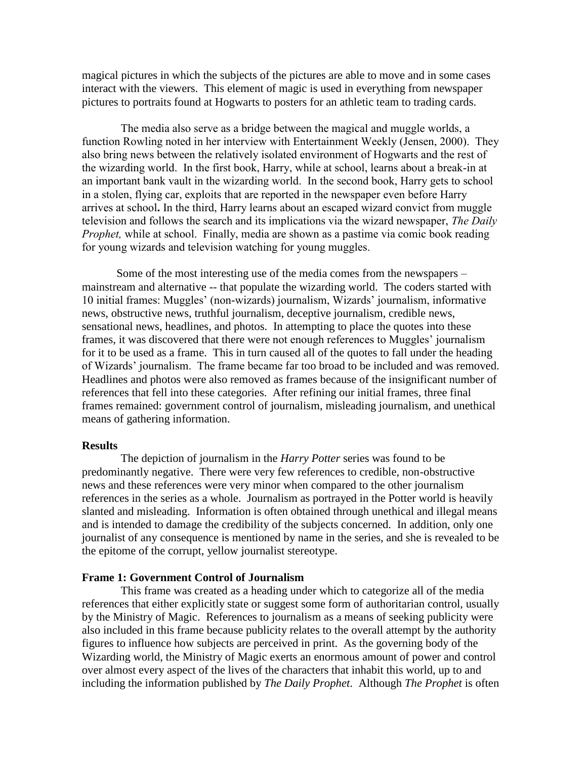magical pictures in which the subjects of the pictures are able to move and in some cases interact with the viewers. This element of magic is used in everything from newspaper pictures to portraits found at Hogwarts to posters for an athletic team to trading cards.

The media also serve as a bridge between the magical and muggle worlds, a function Rowling noted in her interview with Entertainment Weekly (Jensen, 2000). They also bring news between the relatively isolated environment of Hogwarts and the rest of the wizarding world. In the first book, Harry, while at school, learns about a break-in at an important bank vault in the wizarding world. In the second book, Harry gets to school in a stolen, flying car, exploits that are reported in the newspaper even before Harry arrives at school**.** In the third, Harry learns about an escaped wizard convict from muggle television and follows the search and its implications via the wizard newspaper, *The Daily Prophet*, while at school. Finally, media are shown as a pastime via comic book reading for young wizards and television watching for young muggles.

Some of the most interesting use of the media comes from the newspapers – mainstream and alternative -- that populate the wizarding world. The coders started with 10 initial frames: Muggles' (non-wizards) journalism, Wizards' journalism, informative news, obstructive news, truthful journalism, deceptive journalism, credible news, sensational news, headlines, and photos. In attempting to place the quotes into these frames, it was discovered that there were not enough references to Muggles' journalism for it to be used as a frame. This in turn caused all of the quotes to fall under the heading of Wizards' journalism. The frame became far too broad to be included and was removed. Headlines and photos were also removed as frames because of the insignificant number of references that fell into these categories. After refining our initial frames, three final frames remained: government control of journalism, misleading journalism, and unethical means of gathering information.

#### **Results**

The depiction of journalism in the *Harry Potter* series was found to be predominantly negative. There were very few references to credible, non-obstructive news and these references were very minor when compared to the other journalism references in the series as a whole. Journalism as portrayed in the Potter world is heavily slanted and misleading. Information is often obtained through unethical and illegal means and is intended to damage the credibility of the subjects concerned. In addition, only one journalist of any consequence is mentioned by name in the series, and she is revealed to be the epitome of the corrupt, yellow journalist stereotype.

### **Frame 1: Government Control of Journalism**

This frame was created as a heading under which to categorize all of the media references that either explicitly state or suggest some form of authoritarian control, usually by the Ministry of Magic. References to journalism as a means of seeking publicity were also included in this frame because publicity relates to the overall attempt by the authority figures to influence how subjects are perceived in print. As the governing body of the Wizarding world, the Ministry of Magic exerts an enormous amount of power and control over almost every aspect of the lives of the characters that inhabit this world, up to and including the information published by *The Daily Prophet*. Although *The Prophet* is often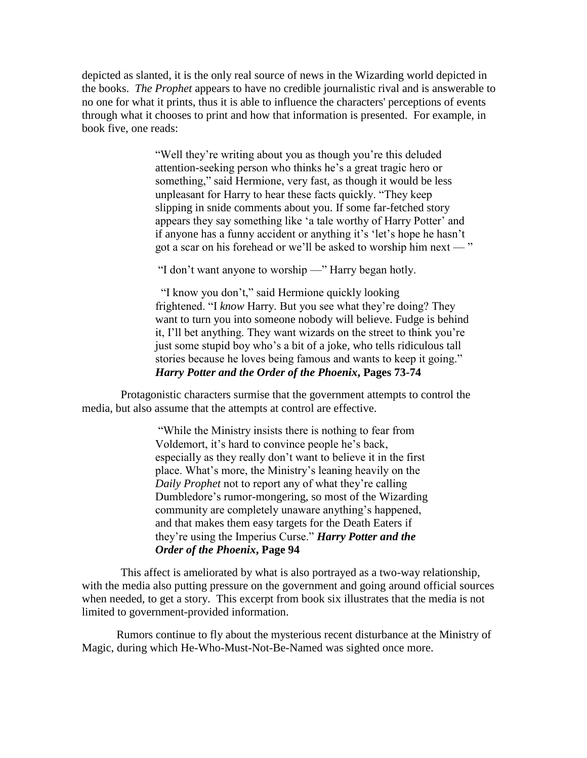depicted as slanted, it is the only real source of news in the Wizarding world depicted in the books. *The Prophet* appears to have no credible journalistic rival and is answerable to no one for what it prints, thus it is able to influence the characters' perceptions of events through what it chooses to print and how that information is presented. For example, in book five, one reads:

> "Well they're writing about you as though you're this deluded attention-seeking person who thinks he's a great tragic hero or something," said Hermione, very fast, as though it would be less unpleasant for Harry to hear these facts quickly. "They keep slipping in snide comments about you. If some far-fetched story appears they say something like ‗a tale worthy of Harry Potter' and if anyone has a funny accident or anything it's ‗let's hope he hasn't got a scar on his forehead or we'll be asked to worship him next — "

"I don't want anyone to worship —" Harry began hotly.

"I know you don't," said Hermione quickly looking frightened. "I *know* Harry. But you see what they're doing? They want to turn you into someone nobody will believe. Fudge is behind it, I'll bet anything. They want wizards on the street to think you're just some stupid boy who's a bit of a joke, who tells ridiculous tall stories because he loves being famous and wants to keep it going." *Harry Potter and the Order of the Phoenix***, Pages 73-74**

Protagonistic characters surmise that the government attempts to control the media, but also assume that the attempts at control are effective.

> ―While the Ministry insists there is nothing to fear from Voldemort, it's hard to convince people he's back, especially as they really don't want to believe it in the first place. What's more, the Ministry's leaning heavily on the *Daily Prophet* not to report any of what they're calling Dumbledore's rumor-mongering, so most of the Wizarding community are completely unaware anything's happened, and that makes them easy targets for the Death Eaters if they're using the Imperius Curse." *Harry Potter and the Order of the Phoenix***, Page 94**

This affect is ameliorated by what is also portrayed as a two-way relationship, with the media also putting pressure on the government and going around official sources when needed, to get a story. This excerpt from book six illustrates that the media is not limited to government-provided information.

Rumors continue to fly about the mysterious recent disturbance at the Ministry of Magic, during which He-Who-Must-Not-Be-Named was sighted once more.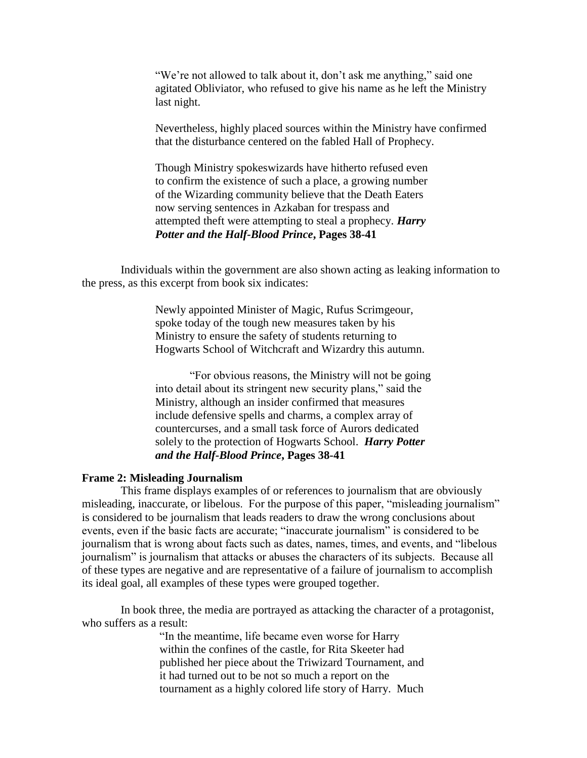"We're not allowed to talk about it, don't ask me anything," said one agitated Obliviator, who refused to give his name as he left the Ministry last night.

Nevertheless, highly placed sources within the Ministry have confirmed that the disturbance centered on the fabled Hall of Prophecy.

Though Ministry spokeswizards have hitherto refused even to confirm the existence of such a place, a growing number of the Wizarding community believe that the Death Eaters now serving sentences in Azkaban for trespass and attempted theft were attempting to steal a prophecy. *Harry Potter and the Half-Blood Prince***, Pages 38-41**

Individuals within the government are also shown acting as leaking information to the press, as this excerpt from book six indicates:

> Newly appointed Minister of Magic, Rufus Scrimgeour, spoke today of the tough new measures taken by his Ministry to ensure the safety of students returning to Hogwarts School of Witchcraft and Wizardry this autumn.

―For obvious reasons, the Ministry will not be going into detail about its stringent new security plans," said the Ministry, although an insider confirmed that measures include defensive spells and charms, a complex array of countercurses, and a small task force of Aurors dedicated solely to the protection of Hogwarts School. *Harry Potter and the Half-Blood Prince***, Pages 38-41**

# **Frame 2: Misleading Journalism**

This frame displays examples of or references to journalism that are obviously misleading, inaccurate, or libelous. For the purpose of this paper, "misleading journalism" is considered to be journalism that leads readers to draw the wrong conclusions about events, even if the basic facts are accurate; "inaccurate journalism" is considered to be journalism that is wrong about facts such as dates, names, times, and events, and "libelous" journalism" is journalism that attacks or abuses the characters of its subjects. Because all of these types are negative and are representative of a failure of journalism to accomplish its ideal goal, all examples of these types were grouped together.

In book three, the media are portrayed as attacking the character of a protagonist, who suffers as a result:

> "In the meantime, life became even worse for Harry" within the confines of the castle, for Rita Skeeter had published her piece about the Triwizard Tournament, and it had turned out to be not so much a report on the tournament as a highly colored life story of Harry. Much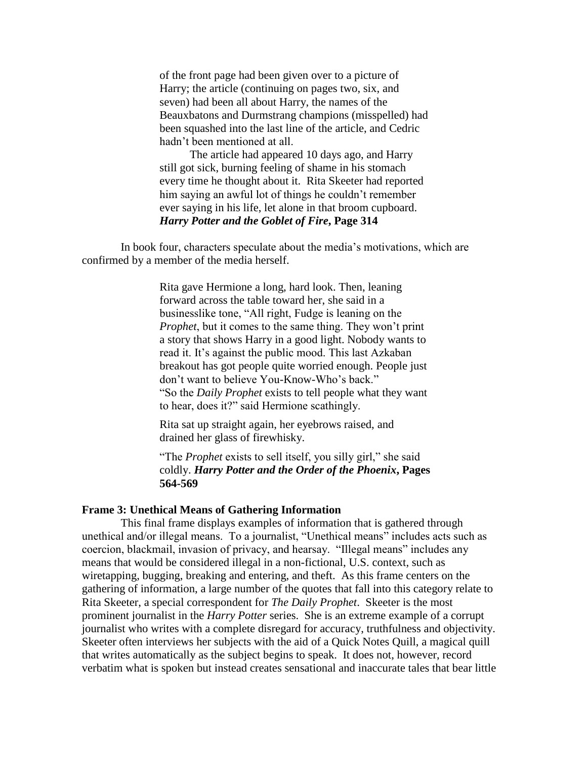of the front page had been given over to a picture of Harry; the article (continuing on pages two, six, and seven) had been all about Harry, the names of the Beauxbatons and Durmstrang champions (misspelled) had been squashed into the last line of the article, and Cedric hadn't been mentioned at all.

The article had appeared 10 days ago, and Harry still got sick, burning feeling of shame in his stomach every time he thought about it. Rita Skeeter had reported him saying an awful lot of things he couldn't remember ever saying in his life, let alone in that broom cupboard. *Harry Potter and the Goblet of Fire***, Page 314**

In book four, characters speculate about the media's motivations, which are confirmed by a member of the media herself.

> Rita gave Hermione a long, hard look. Then, leaning forward across the table toward her, she said in a businesslike tone, "All right, Fudge is leaning on the *Prophet*, but it comes to the same thing. They won't print a story that shows Harry in a good light. Nobody wants to read it. It's against the public mood. This last Azkaban breakout has got people quite worried enough. People just don't want to believe You-Know-Who's back." ―So the *Daily Prophet* exists to tell people what they want to hear, does it?" said Hermione scathingly.

Rita sat up straight again, her eyebrows raised, and drained her glass of firewhisky.

"The *Prophet* exists to sell itself, you silly girl," she said coldly. *Harry Potter and the Order of the Phoenix***, Pages 564-569**

# **Frame 3: Unethical Means of Gathering Information**

This final frame displays examples of information that is gathered through unethical and/or illegal means. To a journalist, "Unethical means" includes acts such as coercion, blackmail, invasion of privacy, and hearsay. "Illegal means" includes any means that would be considered illegal in a non-fictional, U.S. context, such as wiretapping, bugging, breaking and entering, and theft. As this frame centers on the gathering of information, a large number of the quotes that fall into this category relate to Rita Skeeter, a special correspondent for *The Daily Prophet*. Skeeter is the most prominent journalist in the *Harry Potter* series. She is an extreme example of a corrupt journalist who writes with a complete disregard for accuracy, truthfulness and objectivity. Skeeter often interviews her subjects with the aid of a Quick Notes Quill, a magical quill that writes automatically as the subject begins to speak. It does not, however, record verbatim what is spoken but instead creates sensational and inaccurate tales that bear little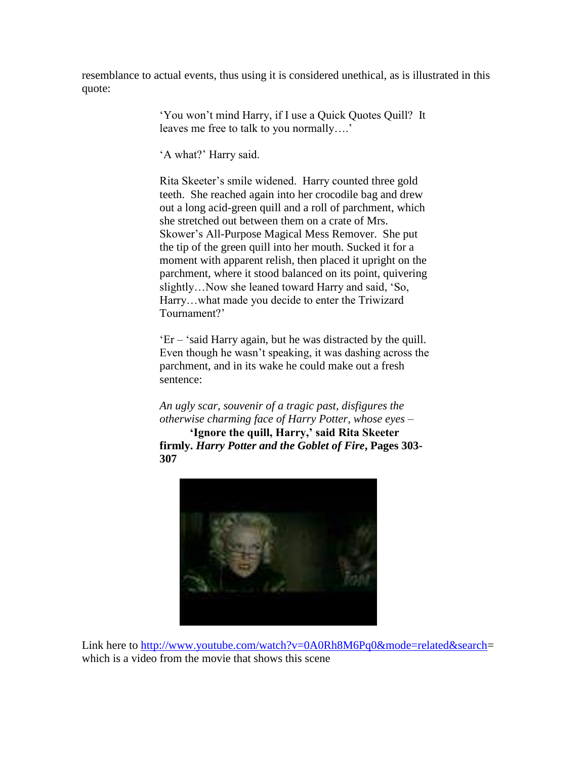resemblance to actual events, thus using it is considered unethical, as is illustrated in this quote:

> ‗You won't mind Harry, if I use a Quick Quotes Quill? It leaves me free to talk to you normally….'

‗A what?' Harry said.

Rita Skeeter's smile widened. Harry counted three gold teeth. She reached again into her crocodile bag and drew out a long acid-green quill and a roll of parchment, which she stretched out between them on a crate of Mrs. Skower's All-Purpose Magical Mess Remover. She put the tip of the green quill into her mouth. Sucked it for a moment with apparent relish, then placed it upright on the parchment, where it stood balanced on its point, quivering slightly...Now she leaned toward Harry and said, 'So, Harry…what made you decide to enter the Triwizard Tournament?'

‗Er – ‗said Harry again, but he was distracted by the quill. Even though he wasn't speaking, it was dashing across the parchment, and in its wake he could make out a fresh sentence:

*An ugly scar, souvenir of a tragic past, disfigures the otherwise charming face of Harry Potter, whose eyes –* **'Ignore the quill, Harry,' said Rita Skeeter firmly.** *Harry Potter and the Goblet of Fire***, Pages 303- 307**



Link here to [http://www.youtube.com/watch?v=0A0Rh8M6Pq0&mode=related&search=](http://www.youtube.com/watch?v=0A0Rh8M6Pq0&mode=related&search) which is a video from the movie that shows this scene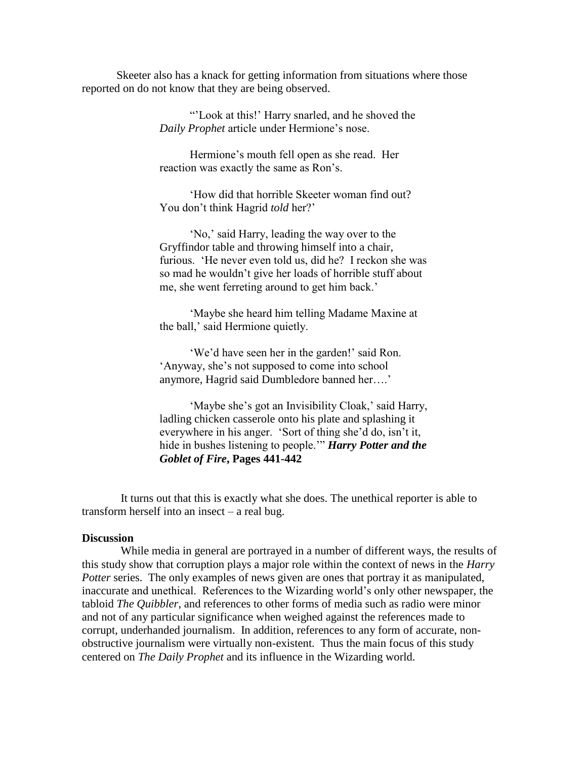Skeeter also has a knack for getting information from situations where those reported on do not know that they are being observed.

> ―'Look at this!' Harry snarled, and he shoved the *Daily Prophet* article under Hermione's nose.

Hermione's mouth fell open as she read. Her reaction was exactly the same as Ron's.

‗How did that horrible Skeeter woman find out? You don't think Hagrid *told* her?'

‗No,' said Harry, leading the way over to the Gryffindor table and throwing himself into a chair, furious. 'He never even told us, did he? I reckon she was so mad he wouldn't give her loads of horrible stuff about me, she went ferreting around to get him back.'

‗Maybe she heard him telling Madame Maxine at the ball,' said Hermione quietly.

‗We'd have seen her in the garden!' said Ron. ‗Anyway, she's not supposed to come into school anymore, Hagrid said Dumbledore banned her….'

‗Maybe she's got an Invisibility Cloak,' said Harry, ladling chicken casserole onto his plate and splashing it everywhere in his anger. 'Sort of thing she'd do, isn't it, hide in bushes listening to people." *Harry Potter and the Goblet of Fire***, Pages 441-442**

It turns out that this is exactly what she does. The unethical reporter is able to transform herself into an insect – a real bug.

## **Discussion**

While media in general are portrayed in a number of different ways, the results of this study show that corruption plays a major role within the context of news in the *Harry Potter* series. The only examples of news given are ones that portray it as manipulated, inaccurate and unethical. References to the Wizarding world's only other newspaper, the tabloid *The Quibbler*, and references to other forms of media such as radio were minor and not of any particular significance when weighed against the references made to corrupt, underhanded journalism. In addition, references to any form of accurate, nonobstructive journalism were virtually non-existent. Thus the main focus of this study centered on *The Daily Prophet* and its influence in the Wizarding world.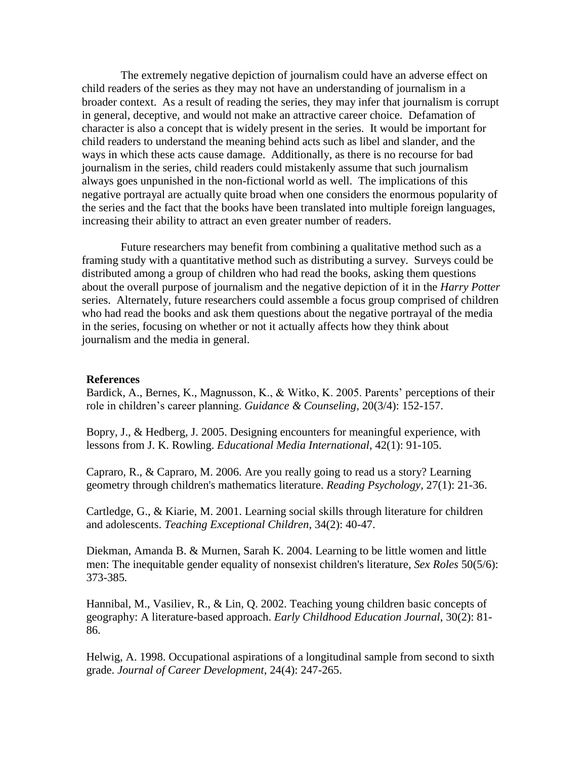The extremely negative depiction of journalism could have an adverse effect on child readers of the series as they may not have an understanding of journalism in a broader context. As a result of reading the series, they may infer that journalism is corrupt in general, deceptive, and would not make an attractive career choice. Defamation of character is also a concept that is widely present in the series. It would be important for child readers to understand the meaning behind acts such as libel and slander, and the ways in which these acts cause damage. Additionally, as there is no recourse for bad journalism in the series, child readers could mistakenly assume that such journalism always goes unpunished in the non-fictional world as well. The implications of this negative portrayal are actually quite broad when one considers the enormous popularity of the series and the fact that the books have been translated into multiple foreign languages, increasing their ability to attract an even greater number of readers.

Future researchers may benefit from combining a qualitative method such as a framing study with a quantitative method such as distributing a survey. Surveys could be distributed among a group of children who had read the books, asking them questions about the overall purpose of journalism and the negative depiction of it in the *Harry Potter* series. Alternately, future researchers could assemble a focus group comprised of children who had read the books and ask them questions about the negative portrayal of the media in the series, focusing on whether or not it actually affects how they think about journalism and the media in general.

### **References**

Bardick, A., Bernes, K., Magnusson, K., & Witko, K. 2005. Parents' perceptions of their role in children's career planning. *Guidance & Counseling,* 20(3/4): 152-157.

Bopry, J., & Hedberg, J. 2005. Designing encounters for meaningful experience, with lessons from J. K. Rowling. *Educational Media International*, 42(1): 91-105.

Capraro, R., & Capraro, M. 2006. Are you really going to read us a story? Learning geometry through children's mathematics literature. *Reading Psychology,* 27(1): 21-36.

Cartledge, G., & Kiarie, M. 2001. Learning social skills through literature for children and adolescents. *Teaching Exceptional Children*, 34(2): 40-47.

Diekman, Amanda B. & Murnen, Sarah K. 2004. Learning to be little women and little men: The inequitable gender equality of nonsexist children's literature*, Sex Roles* 50(5/6): 373-385*.* 

Hannibal, M., Vasiliev, R., & Lin, Q. 2002. Teaching young children basic concepts of geography: A literature-based approach. *Early Childhood Education Journal*, 30(2): 81- 86.

Helwig, A. 1998. Occupational aspirations of a longitudinal sample from second to sixth grade. *Journal of Career Development*, 24(4): 247-265.